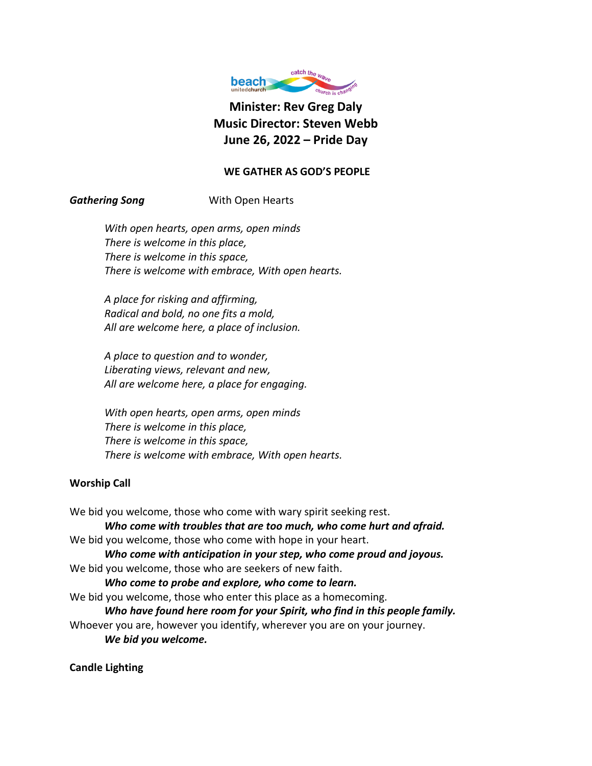

**Minister: Rev Greg Daly Music Director: Steven Webb June 26, 2022 – Pride Day**

# **WE GATHER AS GOD'S PEOPLE**

# **Gathering Song** With Open Hearts

*With open hearts, open arms, open minds There is welcome in this place, There is welcome in this space, There is welcome with embrace, With open hearts.*

*A place for risking and affirming, Radical and bold, no one fits a mold, All are welcome here, a place of inclusion.*

*A place to question and to wonder, Liberating views, relevant and new, All are welcome here, a place for engaging.*

*With open hearts, open arms, open minds There is welcome in this place, There is welcome in this space, There is welcome with embrace, With open hearts.*

## **Worship Call**

We bid you welcome, those who come with wary spirit seeking rest. *Who come with troubles that are too much, who come hurt and afraid.* We bid you welcome, those who come with hope in your heart. *Who come with anticipation in your step, who come proud and joyous.* We bid you welcome, those who are seekers of new faith. *Who come to probe and explore, who come to learn.* We bid you welcome, those who enter this place as a homecoming. *Who have found here room for your Spirit, who find in this people family.* Whoever you are, however you identify, wherever you are on your journey. *We bid you welcome.*

**Candle Lighting**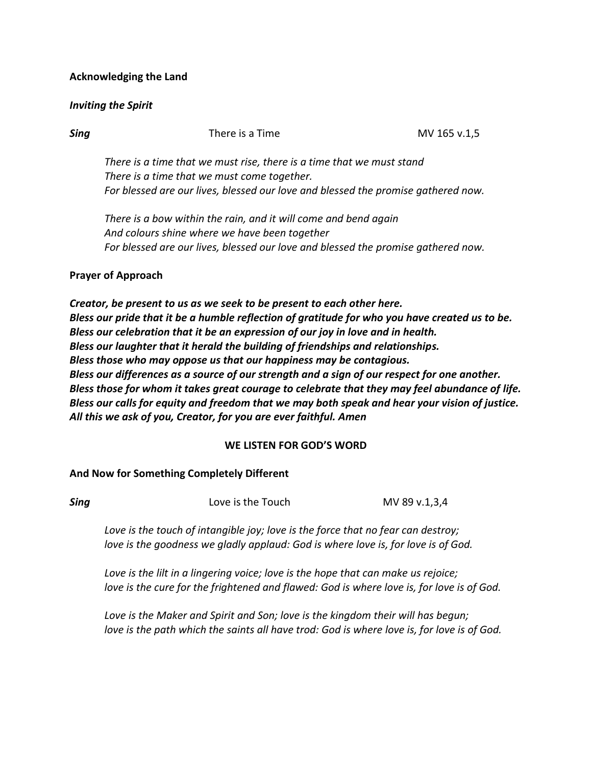## **Acknowledging the Land**

### *Inviting the Spirit*

**Sing** MV 165 v.1,5

*There is a time that we must rise, there is a time that we must stand There is a time that we must come together. For blessed are our lives, blessed our love and blessed the promise gathered now.*

*There is a bow within the rain, and it will come and bend again And colours shine where we have been together For blessed are our lives, blessed our love and blessed the promise gathered now.*

#### **Prayer of Approach**

*Creator, be present to us as we seek to be present to each other here. Bless our pride that it be a humble reflection of gratitude for who you have created us to be. Bless our celebration that it be an expression of our joy in love and in health. Bless our laughter that it herald the building of friendships and relationships. Bless those who may oppose us that our happiness may be contagious. Bless our differences as a source of our strength and a sign of our respect for one another. Bless those for whom it takes great courage to celebrate that they may feel abundance of life. Bless our calls for equity and freedom that we may both speak and hear your vision of justice. All this we ask of you, Creator, for you are ever faithful. Amen*

#### **WE LISTEN FOR GOD'S WORD**

#### **And Now for Something Completely Different**

| Sing | Love is the Touch | MV 89 v.1,3,4 |
|------|-------------------|---------------|
|      |                   |               |

*Love is the touch of intangible joy; love is the force that no fear can destroy; love is the goodness we gladly applaud: God is where love is, for love is of God.*

*Love is the lilt in a lingering voice; love is the hope that can make us rejoice; love is the cure for the frightened and flawed: God is where love is, for love is of God.*

*Love is the Maker and Spirit and Son; love is the kingdom their will has begun; love is the path which the saints all have trod: God is where love is, for love is of God.*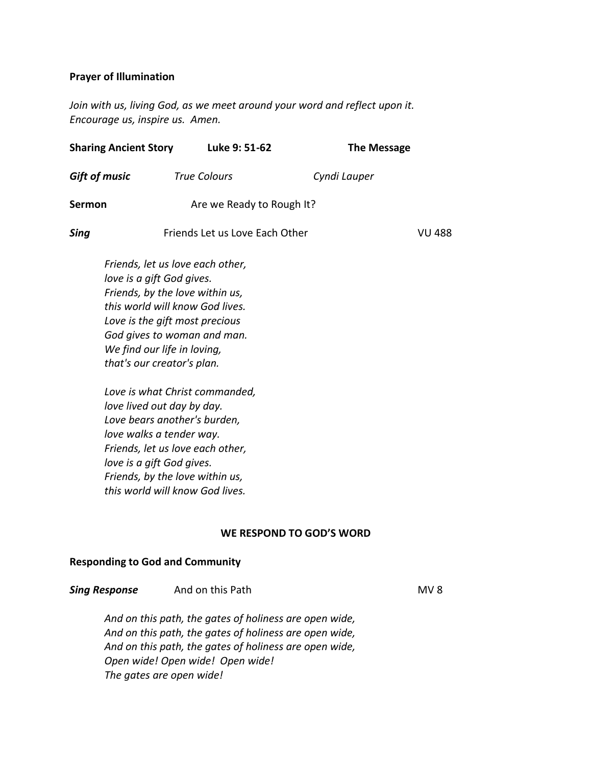## **Prayer of Illumination**

*Join with us, living God, as we meet around your word and reflect upon it. Encourage us, inspire us. Amen.*

| <b>Sharing Ancient Story</b>                            | Luke 9: 51-62                                                                                                                                                                                          |                          | <b>The Message</b> |
|---------------------------------------------------------|--------------------------------------------------------------------------------------------------------------------------------------------------------------------------------------------------------|--------------------------|--------------------|
| <b>Gift of music</b>                                    | <b>True Colours</b>                                                                                                                                                                                    | Cyndi Lauper             |                    |
| Sermon                                                  | Are we Ready to Rough It?                                                                                                                                                                              |                          |                    |
| Sing                                                    | Friends Let us Love Each Other                                                                                                                                                                         |                          | <b>VU 488</b>      |
| love is a gift God gives.<br>that's our creator's plan. | Friends, let us love each other,<br>Friends, by the love within us,<br>this world will know God lives.<br>Love is the gift most precious<br>God gives to woman and man.<br>We find our life in loving, |                          |                    |
| love walks a tender way.<br>love is a gift God gives.   | Love is what Christ commanded,<br>love lived out day by day.<br>Love bears another's burden,<br>Friends, let us love each other,<br>Friends, by the love within us,<br>this world will know God lives. |                          |                    |
|                                                         |                                                                                                                                                                                                        | WE RESPOND TO GOD'S WORD |                    |

# **Responding to God and Community**

| <b>Sing Response</b> | And on this Path | MV <sub>8</sub> |
|----------------------|------------------|-----------------|
|----------------------|------------------|-----------------|

*And on this path, the gates of holiness are open wide, And on this path, the gates of holiness are open wide, And on this path, the gates of holiness are open wide, Open wide! Open wide! Open wide! The gates are open wide!*